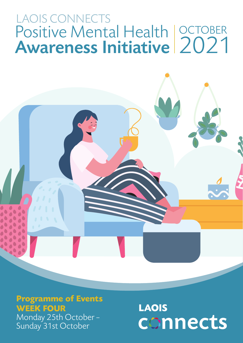## Positive Mental Health Awareness Initiative LAOIS CONNECTS **OCTOBER** 2021

#### **Programme of Events WEEK FOUR**

Monday 25th October – Sunday 31st October

## **LAOIS** connects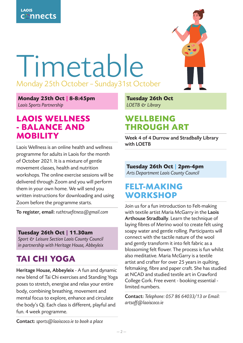

# Timetable Monday 25th October – Sunday31st October

**Monday 25th Oct | 8-8:45pm** Laois Sports Partnership

#### **LAOIS WELLNESS - BALANCE AND MOBILITY**

Laois Wellness is an online health and wellness programme for adults in Laois for the month of October 2021. It is a mixture of gentle movement classes, health and nutrition workshops. The online exercise sessions will be delivered through Zoom and you will perform them in your own home. We will send you written instructions for downloading and using Zoom before the programme starts.

To register, email: ruthtruefitness@gmail.com

#### **Tuesday 26th Oct | 11.30am**

Sport & Leisure Section Laois County Council in partnership with Heritage House, Abbeyleix

## **TAI CHI YOGA**

Heritage House, Abbeyleix - A fun and dynamic new blend of Tai Chi exercises and Standing Yoga poses to stretch, energise and relax your entire body, combining breathing, movement and mental focus to explore, enhance and circulate the body's Qi. Each class is different, playful and fun. 4 week programme.

**Tuesday 26th Oct** LOETB & Library

#### **WELLBEING THROUGH ART**

Week 4 of 4 Durrow and Stradbally Library with LOETB

#### **Tuesday 26th Oct | 2pm-4pm**  Arts Department Laois County Council

**FELT-MAKING WORKSHOP** 

Join us for a fun introduction to Felt-making with textile artist Maria McGarry in the Laois Arthouse Stradbally. Learn the technique of laying fibres of Merino wool to create felt using soapy water and gentle rolling. Participants will connect with the tactile nature of the wool and gently transform it into felt fabric as a blossoming felt flower. The process is fun whilst also meditative. Maria McGarry is a textile artist and crafter for over 25 years in quilting, feltmaking, fibre and paper craft. She has studied at NCAD and studied textile art in Crawford College Cork. Free event - booking essential limited numbers.

Contact: Telephone: 057 86 64033/13 or Email: artsoff@laoiscoco.ie

Contact: sports@laoiscoco.ie to book a place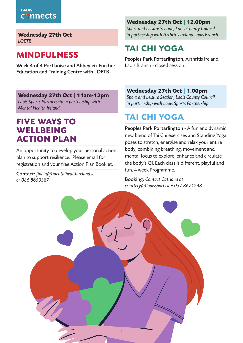**Wednesday 27th Oct LOFTB** 

## **MINDFULNESS**

Week 4 of 4 Portlaoise and Abbeyleix Further Education and Training Centre with LOETB

**Wednesday 27th Oct | 11am-12pm** Laois Sports Partnership in partnership with Mental Health Ireland

#### **FIVE WAYS TO WELLBEING ACTION PLAN**

An opportunity to develop your personal action plan to support resilience. Please email for registration and your free Action Plan Booklet.

Contact: finola@mentalhealthireland.ie or 086 8653387

#### **Wednesday 27th Oct | 12.00pm**

Sport and Leisure Section, Laois County Council in partnership with Arthritis Ireland Laois Branch

## **TAI CHI YOGA**

Peoples Park Portarlington, Arthritis Ireland Laois Branch - closed session.

#### **Wednesday 27th Oct | 1.00pm**

Sport and Leisure Section, Laois County Council in partnership with Laois Sports Partnership

## **TAI CHI YOGA**

Peoples Park Portarlington - A fun and dynamic new blend of Tai Chi exercises and Standing Yoga poses to stretch, energise and relax your entire body, combining breathing, movement and mental focus to explore, enhance and circulate the body's Qi. Each class is different, playful and fun. 4 week Programme.

Booking: Contact Catriona at cslattery@laoissports.ie • 057 8671248

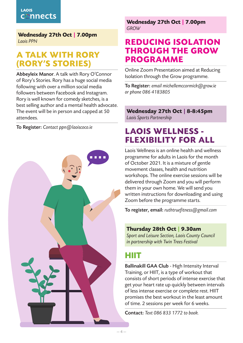**Wednesday 27th Oct | 7.00pm** Laois PPN

## **A TALK WITH RORY (RORY'S STORIES)**

Abbeyleix Manor. A talk with Rory O'Connor of Rory's Stories. Rory has a huge social media following with over a million social media followers between Facebook and Instagram. Rory is well known for comedy sketches, is a best selling author and a mental health advocate. The event will be in person and capped at 50 attendees.

To Register: Contact ppn@laoiscoco.ie



**Wednesday 27th Oct | 7.00pm** GROW

#### **REDUCING ISOLATION THROUGH THE GROW PROGRAMME**

Online Zoom Presentation aimed at Reducing Isolation through the Grow programme.

To Register: email michellemccormick@grow.ie or phone 086 4183805

**Wednesday 27th Oct | 8-8:45pm** Laois Sports Partnership

## **LAOIS WELLNESS - FLEXIBILITY FOR ALL**

Laois Wellness is an online health and wellness programme for adults in Laois for the month of October 2021. It is a mixture of gentle movement classes, health and nutrition workshops. The online exercise sessions will be delivered through Zoom and you will perform them in your own home. We will send you written instructions for downloading and using Zoom before the programme starts.

To register, email: ruthtruefitness@gmail.com

#### **Thursday 28th Oct | 9.30am**

Sport and Leisure Section, Laois County Council in partnership with Twin Trees Festival

## **HIIT**

Ballinakill GAA Club - High Intensity Interval Training, or HIIT, is a type of workout that consists of short periods of intense exercise that get your heart rate up quickly between intervals of less intense exercise or complete rest. HIIT promises the best workout in the least amount of time. 2 sessions per week for 6 weeks.

Contact: Text 086 833 1772 to book.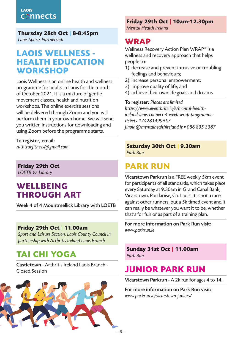**Thursday 28th Oct | 8-8:45pm**

Laois Sports Partnership

#### **LAOIS WELLNESS - HEALTH EDUCATION WORKSHOP**

Laois Wellness is an online health and wellness programme for adults in Laois for the month of October 2021. It is a mixture of gentle movement classes, health and nutrition workshops. The online exercise sessions will be delivered through Zoom and you will perform them in your own home. We will send you written instructions for downloading and using Zoom before the programme starts.

To register, email: ruthtruefitness@gmail.com

**Friday 29th Oct** LOETB & Library

## **WELLBEING THROUGH ART**

Week 4 of 4 Mountmellick Library with LOETB

#### **Friday 29th Oct | 11.00am**

Sport and Leisure Section, Laois County Council in partnership with Arthritis Ireland Laois Branch

## **TAI CHI YOGA**

Castletown - Arthritis Ireland Laois Branch - Closed Session



#### **Friday 29th Oct | 10am-12.30pm**

Mental Health Ireland

#### **WRAP**

Wellness Recovery Action Plan WRAP® is a wellness and recovery approach that helps people to:

- 1) decrease and prevent intrusive or troubling feelings and behaviours;
- 2) increase personal empowerment;
- 3) improve quality of life; and
- 4) achieve their own life goals and dreams.

To register: Places are limited https://www.eventbrite.ie/e/mental-healthireland-laois-connect-4-week-wrap-programmetickets-174281499657 finola@mentalhealthireland.ie • 086 835 3387

#### **Saturday 30th Oct | 9.30am** Park Run

## **PARK RUN**

Vicarstown Parkrun is a FREE weekly 5km event for participants of all standards, which takes place every Saturday at 9:30am in Grand Canal Bank, Vicarstown, Portlaoise, Co. Laois. It is not a race against other runners, but a 5k timed event and it can really be whatever you want it to be, whether that's for fun or as part of a training plan.

For more information on Park Run visit: www.parkrun.ie

#### **Sunday 31st Oct | 11.00am** Park Run

## **JUNIOR PARK RUN**

Vicarstown Parkrun - A 2k run for ages 4 to 14.

For more information on Park Run visit: www.parkrun.ie/vicarstown-juniors/